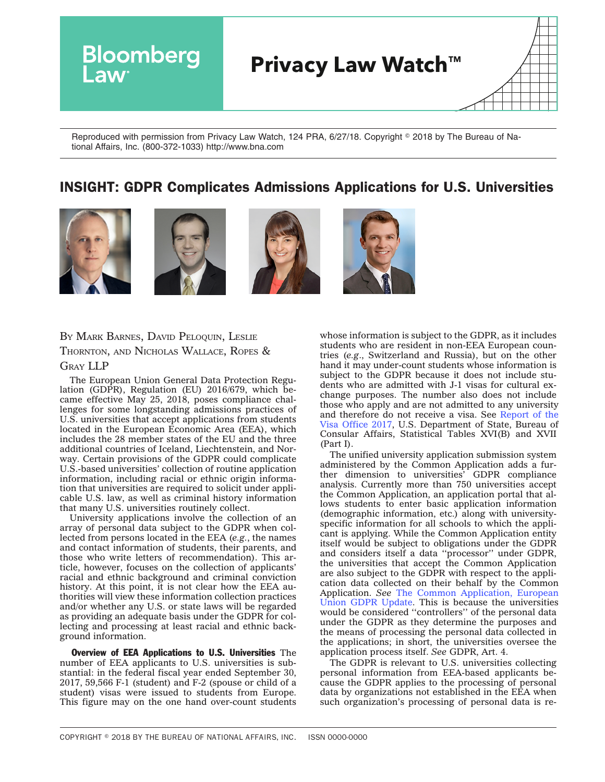

Reproduced with permission from Privacy Law Watch, 124 PRA, 6/27/18. Copyright © 2018 by The Bureau of National Affairs, Inc. (800-372-1033) http://www.bna.com

## INSIGHT: GDPR Complicates Admissions Applications for U.S. Universities







BY MARK BARNES, DAVID PELOQUIN, LESLIE THORNTON, AND NICHOLAS WALLACE, ROPES & GRAY LLP

The European Union General Data Protection Regulation (GDPR), Regulation (EU) 2016/679, which became effective May 25, 2018, poses compliance challenges for some longstanding admissions practices of U.S. universities that accept applications from students located in the European Economic Area (EEA), which includes the 28 member states of the EU and the three additional countries of Iceland, Liechtenstein, and Norway. Certain provisions of the GDPR could complicate U.S.-based universities' collection of routine application information, including racial or ethnic origin information that universities are required to solicit under applicable U.S. law, as well as criminal history information that many U.S. universities routinely collect.

University applications involve the collection of an array of personal data subject to the GDPR when collected from persons located in the EEA (*e.g.*, the names and contact information of students, their parents, and those who write letters of recommendation). This article, however, focuses on the collection of applicants' racial and ethnic background and criminal conviction history. At this point, it is not clear how the EEA authorities will view these information collection practices and/or whether any U.S. or state laws will be regarded as providing an adequate basis under the GDPR for collecting and processing at least racial and ethnic background information.

Overview of EEA Applications to U.S. Universities The number of EEA applicants to U.S. universities is substantial: in the federal fiscal year ended September 30, 2017, 59,566 F-1 (student) and F-2 (spouse or child of a student) visas were issued to students from Europe. This figure may on the one hand over-count students whose information is subject to the GDPR, as it includes students who are resident in non-EEA European countries (*e.g*., Switzerland and Russia), but on the other hand it may under-count students whose information is subject to the GDPR because it does not include students who are admitted with J-1 visas for cultural exchange purposes. The number also does not include those who apply and are not admitted to any university and therefore do not receive a visa. See [Report](https://travel.state.gov/content/travel/en/legal/visa-law0/visa-statistics/annual-reports/report-of-the-visa-office-2017.html) of the Visa [Office](https://travel.state.gov/content/travel/en/legal/visa-law0/visa-statistics/annual-reports/report-of-the-visa-office-2017.html) 2017, U.S. Department of State, Bureau of Consular Affairs, Statistical Tables XVI(B) and XVII (Part I).

The unified university application submission system administered by the Common Application adds a further dimension to universities' GDPR compliance analysis. Currently more than 750 universities accept the Common Application, an application portal that allows students to enter basic application information (demographic information, etc.) along with universityspecific information for all schools to which the applicant is applying. While the Common Application entity itself would be subject to obligations under the GDPR and considers itself a data ''processor'' under GDPR, the universities that accept the Common Application are also subject to the GDPR with respect to the application data collected on their behalf by the Common Application. *See* The Common [Application,](https://appsupport.commonapp.org/applicantsupport/s/article/European-Union-GDPR-update) European Union GDPR [Update.](https://appsupport.commonapp.org/applicantsupport/s/article/European-Union-GDPR-update) This is because the universities would be considered ''controllers'' of the personal data under the GDPR as they determine the purposes and the means of processing the personal data collected in the applications; in short, the universities oversee the application process itself. *See* GDPR, Art. 4.

The GDPR is relevant to U.S. universities collecting personal information from EEA-based applicants because the GDPR applies to the processing of personal data by organizations not established in the EEA when such organization's processing of personal data is re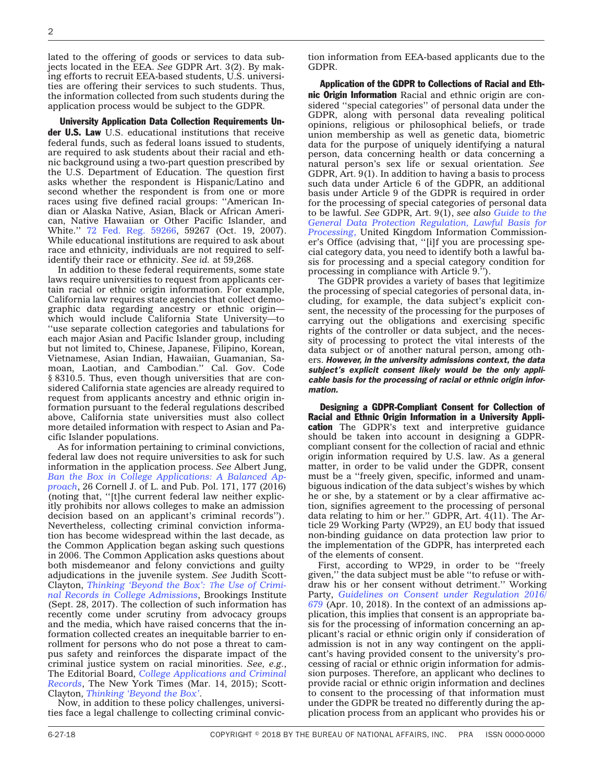lated to the offering of goods or services to data subjects located in the EEA. *See* GDPR Art. 3(2). By making efforts to recruit EEA-based students, U.S. universities are offering their services to such students. Thus, the information collected from such students during the application process would be subject to the GDPR.

University Application Data Collection Requirements Under U.S. Law U.S. educational institutions that receive federal funds, such as federal loans issued to students, are required to ask students about their racial and ethnic background using a two-part question prescribed by the U.S. Department of Education. The question first asks whether the respondent is Hispanic/Latino and second whether the respondent is from one or more races using five defined racial groups: ''American Indian or Alaska Native, Asian, Black or African American, Native Hawaiian or Other Pacific Islander, and White.'' 72 Fed. Reg. [59266,](https://www.gpo.gov/fdsys/granule/FR-2007-10-19/E7-20613) 59267 (Oct. 19, 2007). While educational institutions are required to ask about race and ethnicity, individuals are not required to selfidentify their race or ethnicity. *See id.* at 59,268.

In addition to these federal requirements, some state laws require universities to request from applicants certain racial or ethnic origin information. For example, California law requires state agencies that collect demographic data regarding ancestry or ethnic origin which would include California State University—to ''use separate collection categories and tabulations for each major Asian and Pacific Islander group, including but not limited to, Chinese, Japanese, Filipino, Korean, Vietnamese, Asian Indian, Hawaiian, Guamanian, Samoan, Laotian, and Cambodian.'' Cal. Gov. Code § 8310.5. Thus, even though universities that are considered California state agencies are already required to request from applicants ancestry and ethnic origin information pursuant to the federal regulations described above, California state universities must also collect more detailed information with respect to Asian and Pacific Islander populations.

As for information pertaining to criminal convictions, federal law does not require universities to ask for such information in the application process. *See* Albert Jung, *Ban the Box in College [Applications:](https://scholarship.law.cornell.edu/cgi/viewcontent.cgi?article=1448&context=cjlpp) A Balanced Ap[proach](https://scholarship.law.cornell.edu/cgi/viewcontent.cgi?article=1448&context=cjlpp)*[,](https://scholarship.law.cornell.edu/cgi/viewcontent.cgi?article=1448&context=cjlpp) 26 Cornell J. of L. and Pub. Pol. 171, 177 (2016) (noting that, ''[t]he current federal law neither explicitly prohibits nor allows colleges to make an admission decision based on an applicant's criminal records''). Nevertheless, collecting criminal conviction information has become widespread within the last decade, as the Common Application began asking such questions in 2006. The Common Application asks questions about both misdemeanor and felony convictions and guilty adjudications in the juvenile system. *See* Judith Scott-Clayton, *[Thinking](https://www.brookings.edu/research/thinking-beyond-the-box-the-use-of-criminal-records-in-college-admissions/) 'Beyond the Box': The Use of Criminal Records in College [Admissions](https://www.brookings.edu/research/thinking-beyond-the-box-the-use-of-criminal-records-in-college-admissions/)*, Brookings Institute (Sept. 28, 2017). The collection of such information has recently come under scrutiny from advocacy groups and the media, which have raised concerns that the information collected creates an inequitable barrier to enrollment for persons who do not pose a threat to campus safety and reinforces the disparate impact of the criminal justice system on racial minorities. *See, e.g.*, The Editorial Board, *College [Applications](https://www.nytimes.com/2015/03/15/opinion/sunday/college-applications-and-criminal-records.html) and Criminal [Records](https://www.nytimes.com/2015/03/15/opinion/sunday/college-applications-and-criminal-records.html)*, The New York Times (Mar. 14, 2015); Scott-Clayton, *[Thinking](https://www.brookings.edu/research/thinking-beyond-the-box-the-use-of-criminal-records-in-college-admissions/) 'Beyond the Box'*.

Now, in addition to these policy challenges, universities face a legal challenge to collecting criminal conviction information from EEA-based applicants due to the GDPR.

Application of the GDPR to Collections of Racial and Ethnic Origin Information Racial and ethnic origin are considered ''special categories'' of personal data under the GDPR, along with personal data revealing political opinions, religious or philosophical beliefs, or trade union membership as well as genetic data, biometric data for the purpose of uniquely identifying a natural person, data concerning health or data concerning a natural person's sex life or sexual orientation. *See* GDPR, Art. 9(1). In addition to having a basis to process such data under Article 6 of the GDPR, an additional basis under Article 9 of the GDPR is required in order for the processing of special categories of personal data to be lawful. *See* GDPR, Art. 9(1), *see also [Guide](https://ico.org.uk/for-organisations/guide-to-the-general-data-protection-regulation-gdpr/lawful-basis-for-processing) to the General Data Protection [Regulation,](https://ico.org.uk/for-organisations/guide-to-the-general-data-protection-regulation-gdpr/lawful-basis-for-processing) Lawful Basis for [Processing](https://ico.org.uk/for-organisations/guide-to-the-general-data-protection-regulation-gdpr/lawful-basis-for-processing)*, United Kingdom Information Commissioner's Office (advising that, ''[i]f you are processing special category data, you need to identify both a lawful basis for processing and a special category condition for processing in compliance with Article 9.'').

The GDPR provides a variety of bases that legitimize the processing of special categories of personal data, including, for example, the data subject's explicit consent, the necessity of the processing for the purposes of carrying out the obligations and exercising specific rights of the controller or data subject, and the necessity of processing to protect the vital interests of the data subject or of another natural person, among others. *However, in the university admissions context, the data subject's explicit consent likely would be the only applicable basis for the processing of racial or ethnic origin information.*

Designing a GDPR-Compliant Consent for Collection of Racial and Ethnic Origin Information in a University Application The GDPR's text and interpretive guidance should be taken into account in designing a GDPRcompliant consent for the collection of racial and ethnic origin information required by U.S. law. As a general matter, in order to be valid under the GDPR, consent must be a ''freely given, specific, informed and unambiguous indication of the data subject's wishes by which he or she, by a statement or by a clear affirmative action, signifies agreement to the processing of personal data relating to him or her.'' GDPR, Art. 4(11). The Article 29 Working Party (WP29), an EU body that issued non-binding guidance on data protection law prior to the implementation of the GDPR, has interpreted each of the elements of consent.

First, according to WP29, in order to be ''freely given,'' the data subject must be able ''to refuse or withdraw his or her consent without detriment.'' Working Party, *Guidelines on Consent under [Regulation](http://src.bna.com/yAg) 2016/ [679](http://src.bna.com/yAg)* (Apr. 10, 2018). In the context of an admissions application, this implies that consent is an appropriate basis for the processing of information concerning an applicant's racial or ethnic origin only if consideration of admission is not in any way contingent on the applicant's having provided consent to the university's processing of racial or ethnic origin information for admission purposes. Therefore, an applicant who declines to provide racial or ethnic origin information and declines to consent to the processing of that information must under the GDPR be treated no differently during the application process from an applicant who provides his or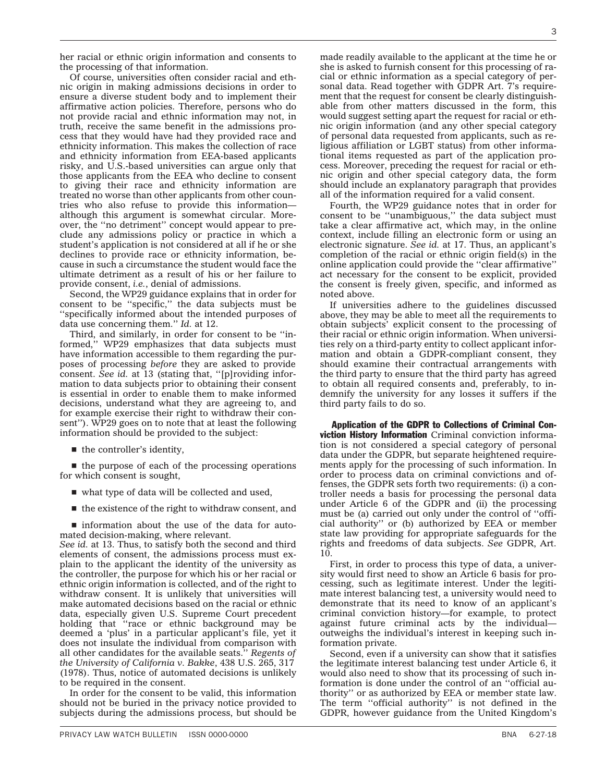her racial or ethnic origin information and consents to the processing of that information.

Of course, universities often consider racial and ethnic origin in making admissions decisions in order to ensure a diverse student body and to implement their affirmative action policies. Therefore, persons who do not provide racial and ethnic information may not, in truth, receive the same benefit in the admissions process that they would have had they provided race and ethnicity information. This makes the collection of race and ethnicity information from EEA-based applicants risky, and U.S.-based universities can argue only that those applicants from the EEA who decline to consent to giving their race and ethnicity information are treated no worse than other applicants from other countries who also refuse to provide this information although this argument is somewhat circular. Moreover, the ''no detriment'' concept would appear to preclude any admissions policy or practice in which a student's application is not considered at all if he or she declines to provide race or ethnicity information, because in such a circumstance the student would face the ultimate detriment as a result of his or her failure to provide consent, *i.e.*, denial of admissions.

Second, the WP29 guidance explains that in order for consent to be ''specific,'' the data subjects must be ''specifically informed about the intended purposes of data use concerning them.'' *Id.* at 12.

Third, and similarly, in order for consent to be ''informed,'' WP29 emphasizes that data subjects must have information accessible to them regarding the purposes of processing *before* they are asked to provide consent. *See id.* at 13 (stating that, ''[p]roviding information to data subjects prior to obtaining their consent is essential in order to enable them to make informed decisions, understand what they are agreeing to, and for example exercise their right to withdraw their consent''). WP29 goes on to note that at least the following information should be provided to the subject:

 $\blacksquare$  the controller's identity,

 $\blacksquare$  the purpose of each of the processing operations for which consent is sought,

- $\blacksquare$  what type of data will be collected and used,
- $\blacksquare$  the existence of the right to withdraw consent, and

 $\blacksquare$  information about the use of the data for automated decision-making, where relevant.

*See id.* at 13. Thus, to satisfy both the second and third elements of consent, the admissions process must explain to the applicant the identity of the university as the controller, the purpose for which his or her racial or ethnic origin information is collected, and of the right to withdraw consent. It is unlikely that universities will make automated decisions based on the racial or ethnic data, especially given U.S. Supreme Court precedent holding that "race or ethnic background may be deemed a 'plus' in a particular applicant's file, yet it does not insulate the individual from comparison with all other candidates for the available seats.'' *Regents of the University of California v. Bakke*, 438 U.S. 265, 317 (1978). Thus, notice of automated decisions is unlikely to be required in the consent.

In order for the consent to be valid, this information should not be buried in the privacy notice provided to subjects during the admissions process, but should be

made readily available to the applicant at the time he or she is asked to furnish consent for this processing of racial or ethnic information as a special category of personal data. Read together with GDPR Art. 7's requirement that the request for consent be clearly distinguishable from other matters discussed in the form, this would suggest setting apart the request for racial or ethnic origin information (and any other special category of personal data requested from applicants, such as religious affiliation or LGBT status) from other informational items requested as part of the application process. Moreover, preceding the request for racial or ethnic origin and other special category data, the form should include an explanatory paragraph that provides all of the information required for a valid consent.

Fourth, the WP29 guidance notes that in order for consent to be ''unambiguous,'' the data subject must take a clear affirmative act, which may, in the online context, include filling an electronic form or using an electronic signature. *See id.* at 17. Thus, an applicant's completion of the racial or ethnic origin field(s) in the online application could provide the ''clear affirmative'' act necessary for the consent to be explicit, provided the consent is freely given, specific, and informed as noted above.

If universities adhere to the guidelines discussed above, they may be able to meet all the requirements to obtain subjects' explicit consent to the processing of their racial or ethnic origin information. When universities rely on a third-party entity to collect applicant information and obtain a GDPR-compliant consent, they should examine their contractual arrangements with the third party to ensure that the third party has agreed to obtain all required consents and, preferably, to indemnify the university for any losses it suffers if the third party fails to do so.

Application of the GDPR to Collections of Criminal Conviction History Information Criminal conviction information is not considered a special category of personal data under the GDPR, but separate heightened requirements apply for the processing of such information. In order to process data on criminal convictions and offenses, the GDPR sets forth two requirements: (i) a controller needs a basis for processing the personal data under Article 6 of the GDPR and (ii) the processing must be (a) carried out only under the control of ''official authority'' or (b) authorized by EEA or member state law providing for appropriate safeguards for the rights and freedoms of data subjects. *See* GDPR, Art. 10.

First, in order to process this type of data, a university would first need to show an Article 6 basis for processing, such as legitimate interest. Under the legitimate interest balancing test, a university would need to demonstrate that its need to know of an applicant's criminal conviction history—for example, to protect against future criminal acts by the individual outweighs the individual's interest in keeping such information private.

Second, even if a university can show that it satisfies the legitimate interest balancing test under Article 6, it would also need to show that its processing of such information is done under the control of an ''official authority'' or as authorized by EEA or member state law. The term ''official authority'' is not defined in the GDPR, however guidance from the United Kingdom's